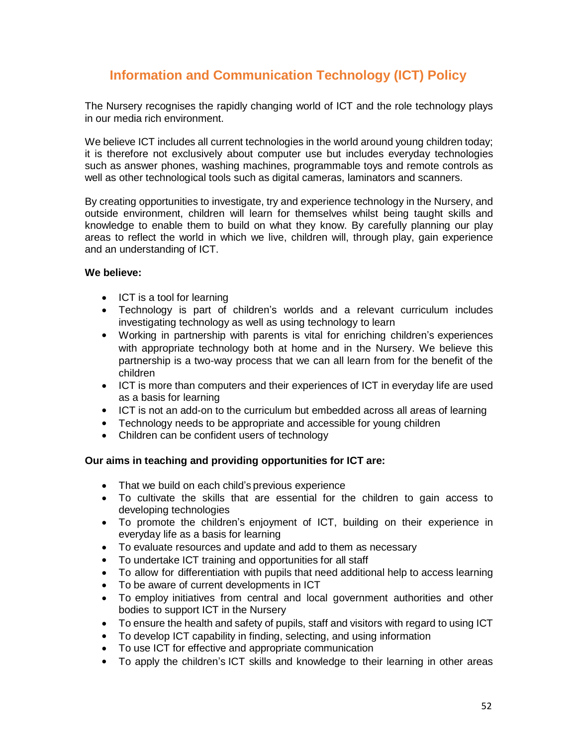# **Information and Communication Technology (ICT) Policy**

The Nursery recognises the rapidly changing world of ICT and the role technology plays in our media rich environment.

We believe ICT includes all current technologies in the world around young children today; it is therefore not exclusively about computer use but includes everyday technologies such as answer phones, washing machines, programmable toys and remote controls as well as other technological tools such as digital cameras, laminators and scanners.

By creating opportunities to investigate, try and experience technology in the Nursery, and outside environment, children will learn for themselves whilst being taught skills and knowledge to enable them to build on what they know. By carefully planning our play areas to reflect the world in which we live, children will, through play, gain experience and an understanding of ICT.

# **We believe:**

- ICT is a tool for learning
- Technology is part of children's worlds and a relevant curriculum includes investigating technology as well as using technology to learn
- Working in partnership with parents is vital for enriching children's experiences with appropriate technology both at home and in the Nursery. We believe this partnership is a two-way process that we can all learn from for the benefit of the children
- ICT is more than computers and their experiences of ICT in everyday life are used as a basis for learning
- ICT is not an add-on to the curriculum but embedded across all areas of learning
- Technology needs to be appropriate and accessible for young children
- Children can be confident users of technology

# **Our aims in teaching and providing opportunities for ICT are:**

- That we build on each child's previous experience
- To cultivate the skills that are essential for the children to gain access to developing technologies
- To promote the children's enjoyment of ICT, building on their experience in everyday life as a basis for learning
- To evaluate resources and update and add to them as necessary
- To undertake ICT training and opportunities for all staff
- To allow for differentiation with pupils that need additional help to access learning
- To be aware of current developments in ICT
- To employ initiatives from central and local government authorities and other bodies to support ICT in the Nursery
- To ensure the health and safety of pupils, staff and visitors with regard to using ICT
- To develop ICT capability in finding, selecting, and using information
- To use ICT for effective and appropriate communication
- To apply the children's ICT skills and knowledge to their learning in other areas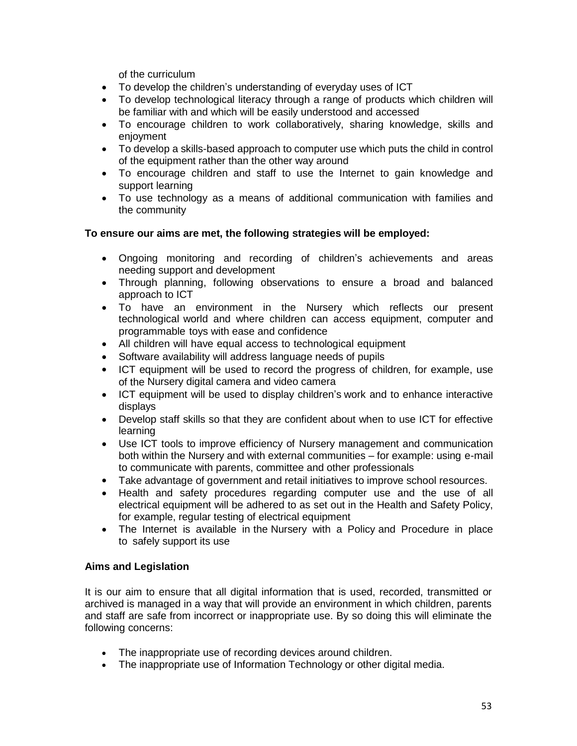of the curriculum

- To develop the children's understanding of everyday uses of ICT
- To develop technological literacy through a range of products which children will be familiar with and which will be easily understood and accessed
- To encourage children to work collaboratively, sharing knowledge, skills and enjoyment
- To develop a skills-based approach to computer use which puts the child in control of the equipment rather than the other way around
- To encourage children and staff to use the Internet to gain knowledge and support learning
- To use technology as a means of additional communication with families and the community

# **To ensure our aims are met, the following strategies will be employed:**

- Ongoing monitoring and recording of children's achievements and areas needing support and development
- Through planning, following observations to ensure a broad and balanced approach to ICT
- To have an environment in the Nursery which reflects our present technological world and where children can access equipment, computer and programmable toys with ease and confidence
- All children will have equal access to technological equipment
- Software availability will address language needs of pupils
- ICT equipment will be used to record the progress of children, for example, use of the Nursery digital camera and video camera
- ICT equipment will be used to display children's work and to enhance interactive displays
- Develop staff skills so that they are confident about when to use ICT for effective learning
- Use ICT tools to improve efficiency of Nursery management and communication both within the Nursery and with external communities – for example: using e-mail to communicate with parents, committee and other professionals
- Take advantage of government and retail initiatives to improve school resources.
- Health and safety procedures regarding computer use and the use of all electrical equipment will be adhered to as set out in the Health and Safety Policy, for example, regular testing of electrical equipment
- The Internet is available in the Nursery with a Policy and Procedure in place to safely support its use

# **Aims and Legislation**

It is our aim to ensure that all digital information that is used, recorded, transmitted or archived is managed in a way that will provide an environment in which children, parents and staff are safe from incorrect or inappropriate use. By so doing this will eliminate the following concerns:

- The inappropriate use of recording devices around children.
- The inappropriate use of Information Technology or other digital media.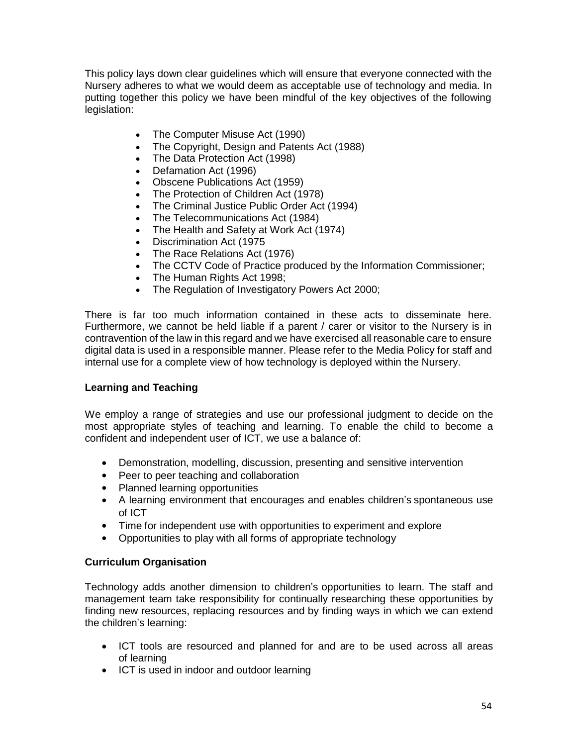This policy lays down clear guidelines which will ensure that everyone connected with the Nursery adheres to what we would deem as acceptable use of technology and media. In putting together this policy we have been mindful of the key objectives of the following legislation:

- The Computer Misuse Act (1990)
- The Copyright, Design and Patents Act (1988)
- The Data Protection Act (1998)
- Defamation Act (1996)
- Obscene Publications Act (1959)
- The Protection of Children Act (1978)
- The Criminal Justice Public Order Act (1994)
- The Telecommunications Act (1984)
- The Health and Safety at Work Act (1974)
- Discrimination Act (1975
- The Race Relations Act (1976)
- The CCTV Code of Practice produced by the Information Commissioner;
- The Human Rights Act 1998;
- The Regulation of Investigatory Powers Act 2000;

There is far too much information contained in these acts to disseminate here. Furthermore, we cannot be held liable if a parent / carer or visitor to the Nursery is in contravention of the law in this regard and we have exercised all reasonable care to ensure digital data is used in a responsible manner. Please refer to the Media Policy for staff and internal use for a complete view of how technology is deployed within the Nursery.

# **Learning and Teaching**

We employ a range of strategies and use our professional judgment to decide on the most appropriate styles of teaching and learning. To enable the child to become a confident and independent user of ICT, we use a balance of:

- Demonstration, modelling, discussion, presenting and sensitive intervention
- Peer to peer teaching and collaboration
- Planned learning opportunities
- A learning environment that encourages and enables children's spontaneous use of ICT
- Time for independent use with opportunities to experiment and explore
- Opportunities to play with all forms of appropriate technology

# **Curriculum Organisation**

Technology adds another dimension to children's opportunities to learn. The staff and management team take responsibility for continually researching these opportunities by finding new resources, replacing resources and by finding ways in which we can extend the children's learning:

- ICT tools are resourced and planned for and are to be used across all areas of learning
- ICT is used in indoor and outdoor learning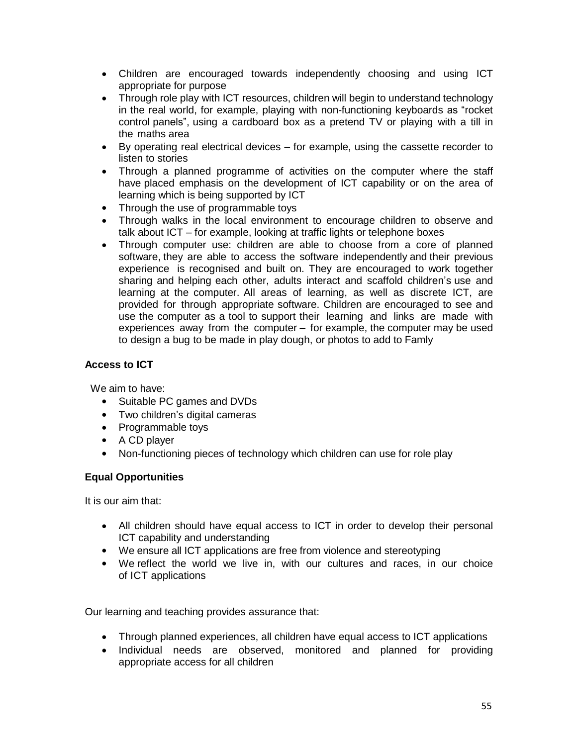- Children are encouraged towards independently choosing and using ICT appropriate for purpose
- Through role play with ICT resources, children will begin to understand technology in the real world, for example, playing with non-functioning keyboards as "rocket control panels", using a cardboard box as a pretend TV or playing with a till in the maths area
- By operating real electrical devices for example, using the cassette recorder to listen to stories
- Through a planned programme of activities on the computer where the staff have placed emphasis on the development of ICT capability or on the area of learning which is being supported by ICT
- Through the use of programmable toys
- Through walks in the local environment to encourage children to observe and talk about ICT – for example, looking at traffic lights or telephone boxes
- Through computer use: children are able to choose from a core of planned software, they are able to access the software independently and their previous experience is recognised and built on. They are encouraged to work together sharing and helping each other, adults interact and scaffold children's use and learning at the computer. All areas of learning, as well as discrete ICT, are provided for through appropriate software. Children are encouraged to see and use the computer as a tool to support their learning and links are made with experiences away from the computer – for example, the computer may be used to design a bug to be made in play dough, or photos to add to Famly

# **Access to ICT**

We aim to have:

- Suitable PC games and DVDs
- Two children's digital cameras
- Programmable toys
- A CD player
- Non-functioning pieces of technology which children can use for role play

# **Equal Opportunities**

It is our aim that:

- All children should have equal access to ICT in order to develop their personal ICT capability and understanding
- We ensure all ICT applications are free from violence and stereotyping
- We reflect the world we live in, with our cultures and races, in our choice of ICT applications

Our learning and teaching provides assurance that:

- Through planned experiences, all children have equal access to ICT applications
- Individual needs are observed, monitored and planned for providing appropriate access for all children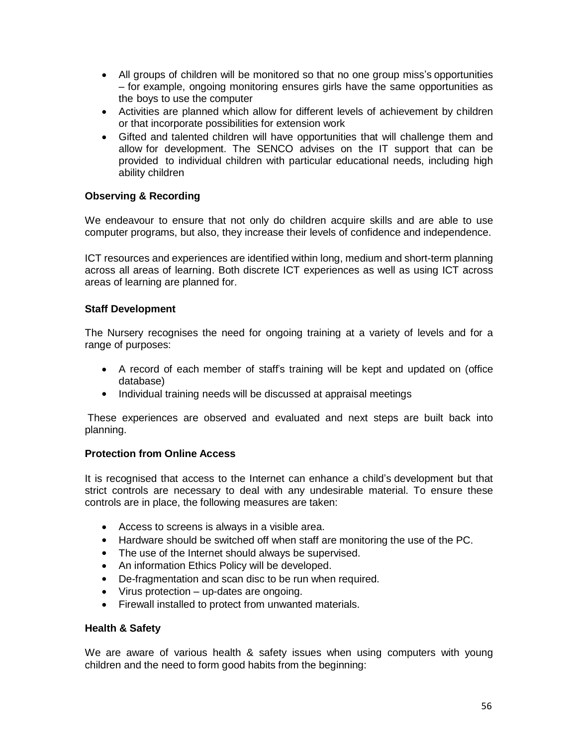- All groups of children will be monitored so that no one group miss's opportunities – for example, ongoing monitoring ensures girls have the same opportunities as the boys to use the computer
- Activities are planned which allow for different levels of achievement by children or that incorporate possibilities for extension work
- Gifted and talented children will have opportunities that will challenge them and allow for development. The SENCO advises on the IT support that can be provided to individual children with particular educational needs, including high ability children

# **Observing & Recording**

We endeavour to ensure that not only do children acquire skills and are able to use computer programs, but also, they increase their levels of confidence and independence.

ICT resources and experiences are identified within long, medium and short-term planning across all areas of learning. Both discrete ICT experiences as well as using ICT across areas of learning are planned for.

#### **Staff Development**

The Nursery recognises the need for ongoing training at a variety of levels and for a range of purposes:

- A record of each member of staff's training will be kept and updated on (office database)
- Individual training needs will be discussed at appraisal meetings

These experiences are observed and evaluated and next steps are built back into planning.

# **Protection from Online Access**

It is recognised that access to the Internet can enhance a child's development but that strict controls are necessary to deal with any undesirable material. To ensure these controls are in place, the following measures are taken:

- Access to screens is always in a visible area.
- Hardware should be switched off when staff are monitoring the use of the PC.
- The use of the Internet should always be supervised.
- An information Ethics Policy will be developed.
- De-fragmentation and scan disc to be run when required.
- Virus protection up-dates are ongoing.
- Firewall installed to protect from unwanted materials.

#### **Health & Safety**

We are aware of various health & safety issues when using computers with young children and the need to form good habits from the beginning: